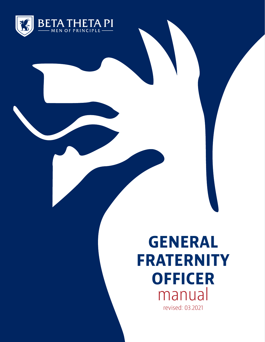

### **GENERAL FRATERNITY OFFICER** manual revised: 03.2021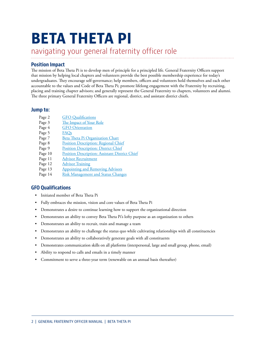## **BETA THETA PI**

navigating your general fraternity officer role

#### **Position Impact**

The mission of Beta Theta Pi is to develop men of principle for a principled life. General Fraternity Officers support that mission by helping local chapters and volunteers provide the best possible membership experience for today's undergraduates. They encourage self-governance; help members, officers and volunteers hold themselves and each other accountable to the values and Code of Beta Theta Pi; promote lifelong engagement with the Fraternity by recruiting, placing and training chapter advisors; and generally represent the General Fraternity to chapters, volunteers and alumni. The three primary General Fraternity Officers are regional, district, and assistant district chiefs.

#### **Jump to:**

- Page 2 GFO Qualifications
- Page 3 The Impact of Your Role
- Page 4 [GFO Orientation](#page-3-0)
- Page 5 [FAQs](#page-4-0)
- Page 7 [Beta Theta Pi Organization Chart](#page-6-0)
- Page 8 [Position Description: Regional Chief](#page-7-0)
- Page 9 [Position Description: District Chief](#page-8-0)
- Page 10 [Position Description: Assistant District Chief](#page-9-0)
- Page 11 [Advisor Recruitment](#page-10-0)
- Page 12 [Advisor Training](#page-11-0)
- Page 13 [Appointing and Removing Advisors](#page-12-0)
- Page 14 [Risk Management and Status Changes](#page-13-0)

#### **GFO Qualifications**

- Initiated member of Beta Theta Pi
- Fully embraces the mission, vision and core values of Beta Theta Pi
- Demonstrates a desire to continue learning how to support the organizational direction
- Demonstrates an ability to convey Beta Theta Pi's lofty purpose as an organization to others
- Demonstrates an ability to recruit, train and manage a team
- Demonstrates an ability to challenge the status quo while cultivating relationships with all constituencies
- Demonstrates an ability to collaboratively generate goals with all constituents
- Demonstrates communication skills on all platforms (interpersonal, large and small group, phone, email)
- Ability to respond to calls and emails in a timely manner
- Commitment to serve a three-year term (renewable on an annual basis thereafter)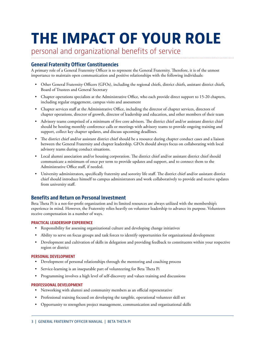### **THE IMPACT OF YOUR ROLE**

personal and organizational benefits of service

#### **General Fraternity Officer Constituencies**

A primary role of a General Fraternity Officer is to represent the General Fraternity. Therefore, it is of the utmost importance to maintain open communication and positive relationships with the following individuals:

- Other General Fraternity Officers (GFOs), including the regional chiefs, district chiefs, assistant district chiefs, Board of Trustees and General Secretary
- Chapter operations specialists at the Administrative Office, who each provide direct support to 15-20 chapters, including regular engagement, campus visits and assessment
- Chapter services staff at the Administrative Office, including the director of chapter services, directors of chapter operations, director of growth, director of leadership and education, and other members of their team
- Advisory teams comprised of a minimum of five core advisors. The district chief and/or assistant district chief should be hosting monthly conference calls or meetings with advisory teams to provide ongoing training and support, collect key chapter updates, and discuss upcoming deadlines.
- The district chief and/or assistant district chief should be a resource during chapter conduct cases and a liaison between the General Fraternity and chapter leadership. GFOs should always focus on collaborating with local advisory teams during conduct situations.
- Local alumni association and/or housing corporation. The district chief and/or assistant district chief should communicate a minimum of once per term to provide updates and support, and to connect them to the Administrative Office staff, if needed.
- University administrators, specifically fraternity and sorority life staff. The district chief and/or assistant district chief should introduce himself to campus administrators and work collaboratively to provide and receive updates from university staff.

#### **Benefits and Return on Personal Investment**

Beta Theta Pi is a not-for-profit organization and its limited resources are always utilized with the membership's experience in mind. However, the Fraternity relies heavily on volunteer leadership to advance its purpose. Volunteers receive compensation in a number of ways.

#### **PRACTICAL LEADERSHIP EXPERIENCE**

- Responsibility for assessing organizational culture and developing change initiatives
- Ability to serve on focus groups and task forces to identify opportunities for organizational development
- Development and cultivation of skills in delegation and providing feedback to constituents within your respective region or district

#### **PERSONAL DEVELOPMENT**

- Development of personal relationships through the mentoring and coaching process
- Service-learning is an inseparable part of volunteering for Beta Theta Pi
- Programming involves a high level of self-discovery and values training and discussions

#### **PROFESSIONAL DEVELOPMENT**

- Networking with alumni and community members as an official representative
- Professional training focused on developing the tangible, operational volunteer skill set
- Opportunity to strengthen project management, communication and organizational skills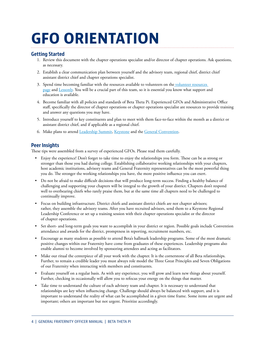### <span id="page-3-0"></span>**GFO ORIENTATION**

#### **Getting Started**

- 1. Review this document with the chapter operations specialist and/or director of chapter operations. Ask questions, as necessary.
- 2. Establish a clear communication plan between yourself and the advisory team, regional chief, district chief assistant district chief and chapter operations specialist.
- 3. Spend time becoming familiar with the resources available to volunteers on the volunteer resources [page](https://beta.org/resources/volunteers/) and [Lessonly.](https://betathetapi.lessonly.com/) You will be a crucial part of this team, so it is essential you know what support and education is available.
- 4. Become familiar with all policies and standards of Beta Theta Pi. Experienced GFOs and Administrative Office staff, specifically the director of chapter operations or chapter operations specialist are resources to provide training and answer any questions you may have.
- 5. Introduce yourself to key constituents and plan to meet with them face-to-face within the month as a district or assistant district chief, and if applicable as a regional chief.
- 6. Make plans to attend [Leadership Summit,](http://beta.org/programs/leadership-summit/) [Keystone](http://beta.org/programs/keystone-conference/) and the [General Convention.](http://beta.org/programs/general-convention/)

#### **Peer Insights**

These tips were assembled from a survey of experienced GFOs. Please read them carefully.

- Enjoy the experience! Don't forget to take time to enjoy the relationships you form. These can be as strong or stronger than those you had during college. Establishing collaborative working relationships with your chapters, host academic institutions, advisory teams and General Fraternity representatives can be the most powerful thing you do. The stronger the working relationships you have, the more positive influence you can exert.
- Do not be afraid to make difficult decisions that will produce long-term success. Finding a healthy balance of challenging and supporting your chapters will be integral to the growth of your district. Chapters don't respond well to overbearing chiefs who rarely praise them, but at the same time all chapters need to be challenged to continually improve.
- Focus on building infrastructure. District chiefs and assistant district chiefs are not chapter advisors; rather, they assemble the advisory teams. After you have recruited advisors, send them to a Keystone Regional Leadership Conference or set up a training session with their chapter operations specialist or the director of chapter operations.
- Set short- and long-term goals you want to accomplish in your district or region. Possible goals include Convention attendance and awards for the district, promptness in reporting, recruitment numbers, etc.
- Encourage as many students as possible to attend Beta's hallmark leadership programs. Some of the most dramatic positive changes within our Fraternity have come from graduates of these experiences. Leadership programs also enable alumni to become involved by sponsoring attendees and acting as facilitators.
- Make our ritual the centerpiece of all your work with the chapter. It is the cornerstone of all Beta relationships. Further, to remain a credible leader you must always role model the Three Great Principles and Seven Obligations of our Fraternity when interacting with members and constituents.
- Evaluate yourself on a regular basis. As with any experience, you will grow and learn new things about yourself. Further, checking in occasionally will allow you to refocus your energy on the things that matter.
- Take time to understand the culture of each advisory team and chapter. It is necessary to understand that relationships are key when influencing change. Challenge should always be balanced with support, and it is important to understand the reality of what can be accomplished in a given time frame. Some items are urgent and important; others are important but not urgent. Prioritize accordingly.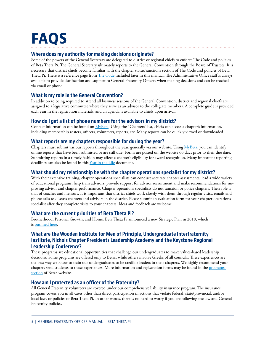### <span id="page-4-0"></span>**FAQS**

#### **Where does my authority for making decisions originate?**

Some of the powers of the General Secretary are delegated to district or regional chiefs to enforce The Code and policies of Beta Theta Pi. The General Secretary ultimately reports to the General Convention through the Board of Trustees. It is necessary that district chiefs become familiar with the chapter status/sanctions section of The Code and policies of Beta Theta Pi. There is a reference page from [The Code](http://beta.org/thecode) included later in this manual. The Administrative Office staff is always available to provide clarification and support to General Fraternity Officers when making decisions and can be reached via email or phone.

#### **What is my role in the General Convention?**

In addition to being required to attend all business sessions of the General Convention, district and regional chiefs are assigned to a legislative committee where they serve as an advisor to the collegiate members. A complete guide is provided each year in the registration materials, and an agenda is available to chiefs upon arrival.

#### **How do I get a list of phone numbers for the advisors in my district?**

Contact information can be found on [MyBeta.](https://my.beta.org/ors/portal.aspx) Using the "Chapters" list, chiefs can access a chapter's information, including membership rosters, officers, volunteers, reports, etc. Many reports can be quickly viewed or downloaded.

#### **What reports are my chapters responsible for during the year?**

Chapters must submit various reports throughout the year, generally via our website. Using [MyBeta,](https://my.beta.org/ors/portal.aspx) you can identify online reports that have been submitted or are still due. Forms are posted on the website 60 days prior to their due date. Submitting reports in a timely fashion may affect a chapter's eligibility for award recognition. Many important reporting deadlines can also be found in this [Year in the Life](http://beta.org/year-in-the-life) document.

#### **What should my relationship be with the chapter operations specialist for my district?**

With their extensive training, chapter operations specialists can conduct accurate chapter assessments, lead a wide variety of educational programs, help train advisors, provide support for advisor recruitment and make recommendations for improving advisor and chapter performance. Chapter operations specialists do not sanction or police chapters. Their role is that of coaches and mentors. It is important that district chiefs work closely with them through regular visits, emails and phone calls to discuss chapters and advisors in the district. Please submit an evaluation form for your chapter operations specialist after they complete visits to your chapters. Ideas and feedback are welcome.

#### **What are the current priorities of Beta Theta Pi?**

Brotherhood, Personal Growth, and Home. Beta Theta Pi announced a new Strategic Plan in 2018, which is [outlined here](https://beta.org/about/beta-strategic-plan/).

#### **What are the Wooden Institute for Men of Principle, Undergraduate Interfraternity Institute, Nichols Chapter Presidents Leadership Academy and the Keystone Regional Leadership Conference?**

These programs are educational opportunities that challenge our undergraduates to make values-based leadership decisions. Some programs are offered only to Betas, while others involve Greeks of all councils. These experiences are the best way we know to train our undergraduates to be credible leaders in their chapters. We highly recommend your chapters send students to these experiences. More information and registration forms may be found in the [programs](https://beta.org/programs/)  [section](https://beta.org/programs/) of Beta's website.

#### **How am I protected as an officer of the Fraternity?**

All General Fraternity volunteers are covered under our comprehensive liability insurance program. The insurance program covers you in all cases other than direct participation in actions that violate federal, state/provincial, and/or local laws or policies of Beta Theta Pi. In other words, there is no need to worry if you are following the law and General Fraternity policies.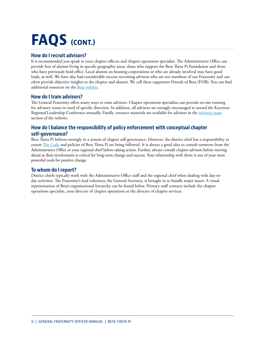### **FAQS (CONT.)**

#### **How do I recruit advisors?**

It is recommended you speak to your chapter officers and chapter operations specialist. The Administrative Office can provide lists of alumni living in specific geographic areas, those who support the Beta Theta Pi Foundation and those who have previously held office. Local alumni on housing corporations or who are already involved may have good leads, as well. We have also had considerable success recruiting advisors who are not members of our Fraternity and can often provide objective insights to the chapter and alumni. We call these supporters Friends of Beta (FOB). You can find additional resources on the [Beta website](https://beta.org/resources/volunteers/).

#### **How do I train advisors?**

The General Fraternity offers many ways to train advisors. Chapter operations specialists can provide on-site training for advisory teams in need of specific direction. In addition, all advisors are strongly encouraged to attend the Keystone Regional Leadership Conference annually. Finally, resource materials are available for advisors in the [advisory team](https://beta.org/resources/volunteers/) section of the website.

#### **How do I balance the responsibility of policy enforcement with conceptual chapter self-governance?**

Beta Theta Pi believes strongly in a system of chapter self-governance. However, the district chief has a responsibility to ensure [The Code](http://beta.org/thecode) and policies of Beta Theta Pi are being followed. It is always a good idea to consult someone from the Administrative Office or your regional chief before taking action. Further, always consult chapter advisors before moving ahead as their involvement is critical for long-term change and success. Your relationship with them is one of your most powerful tools for positive change.

#### **To whom do I report?**

District chiefs typically work with the Administrative Office staff and the regional chief when dealing with day-today activities. The Fraternity's lead volunteer, the General Secretary, is brought in to handle major issues. A visual representation of Beta's organizational hierarchy can be found below. Primary staff contacts include the chapter operations specialist, your director of chapter operations or the director of chapter services.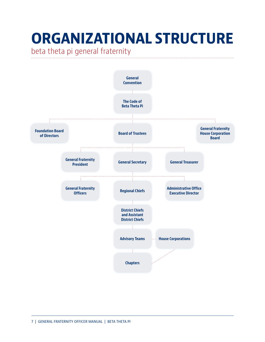## <span id="page-6-0"></span>**ORGANIZATIONAL STRUCTURE**

beta theta pi general fraternity

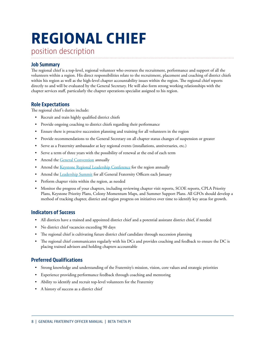# <span id="page-7-0"></span>**REGIONAL CHIEF**

position description

#### **Job Summary**

The regional chief is a top-level, regional volunteer who oversees the recruitment, performance and support of all the volunteers within a region. His direct responsibilities relate to the recruitment, placement and coaching of district chiefs within his region as well as the high-level chapter accountability issues within the region. The regional chief reports directly to and will be evaluated by the General Secretary. He will also form strong working relationships with the chapter services staff, particularly the chapter operations specialist assigned to his region.

#### **Role Expectations**

The regional chief's duties include:

- Recruit and train highly qualified district chiefs
- Provide ongoing coaching to district chiefs regarding their performance
- Ensure there is proactive succession planning and training for all volunteers in the region
- Provide recommendations to the General Secretary on all chapter status changes of suspension or greater
- Serve as a Fraternity ambassador at key regional events (installations, anniversaries, etc.)
- Serve a term of three years with the possibility of renewal at the end of each term
- Attend the [General Convention](http://beta.org/programs/general-convention/) annually
- Attend the [Keystone Regional Leadership Conference](http://beta.org/programs/keystone-conference/) for the region annually
- Attend the [Leadership Summit](http://beta.org/programs/leadership-summit/) for all General Fraternity Officers each January
- Perform chapter visits within the region, as needed
- Monitor the progress of your chapters, including reviewing chapter visit reports, SCOE reports, CPLA Priority Plans, Keystone Priority Plans, Colony Momentum Maps, and Summer Support Plans. All GFOs should develop a method of tracking chapter, district and region progress on initiatives over time to identify key areas for growth.

#### **Indicators of Success**

- All districts have a trained and appointed district chief and a potential assistant district chief, if needed
- No district chief vacancies exceeding 90 days
- The regional chief is cultivating future district chief candidate through succession planning
- The regional chief communicates regularly with his DCs and provides coaching and feedback to ensure the DC is placing trained advisors and holding chapters accountable

#### **Preferred Qualifications**

- Strong knowledge and understanding of the Fraternity's mission, vision, core values and strategic priorities
- Experience providing performance feedback through coaching and mentoring
- Ability to identify and recruit top-level volunteers for the Fraternity
- A history of success as a district chief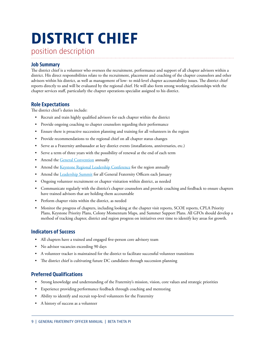# <span id="page-8-0"></span>**DISTRICT CHIEF**

position description

#### **Job Summary**

The district chief is a volunteer who oversees the recruitment, performance and support of all chapter advisors within a district. His direct responsibilities relate to the recruitment, placement and coaching of the chapter counselors and other advisors within his district, as well as management of low- to mid-level chapter accountability issues. The district chief reports directly to and will be evaluated by the regional chief. He will also form strong working relationships with the chapter services staff, particularly the chapter operations specialist assigned to his district.

#### **Role Expectations**

The district chief's duties include:

- Recruit and train highly qualified advisors for each chapter within the district
- Provide ongoing coaching to chapter counselors regarding their performance
- Ensure there is proactive succession planning and training for all volunteers in the region
- Provide recommendations to the regional chief on all chapter status changes
- Serve as a Fraternity ambassador at key district events (installations, anniversaries, etc.)
- Serve a term of three years with the possibility of renewal at the end of each term
- Attend the [General Convention](http://beta.org/programs/general-convention/) annually
- Attend the [Keystone Regional Leadership Conference](http://beta.org/programs/keystone-conference/) for the region annually
- Attend the [Leadership Summit](http://beta.org/programs/leadership-summit/) for all General Fraternity Officers each January
- Ongoing volunteer recruitment or chapter visitation within district, as needed
- Communicate regularly with the district's chapter counselors and provide coaching and feedback to ensure chapters have trained advisors that are holding them accountable
- Perform chapter visits within the district, as needed
- Monitor the progress of chapters, including looking at the chapter visit reports, SCOE reports, CPLA Priority Plans, Keystone Priority Plans, Colony Momentum Maps, and Summer Support Plans. All GFOs should develop a method of tracking chapter, district and region progress on initiatives over time to identify key areas for growth.

#### **Indicators of Success**

- All chapters have a trained and engaged five-person core advisory team
- No advisor vacancies exceeding 90 days
- A volunteer tracker is maintained for the district to facilitate successful volunteer transitions
- The district chief is cultivating future DC candidates through succession planning

#### **Preferred Qualifications**

- Strong knowledge and understanding of the Fraternity's mission, vision, core values and strategic priorities
- Experience providing performance feedback through coaching and mentoring
- Ability to identify and recruit top-level volunteers for the Fraternity
- A history of success as a volunteer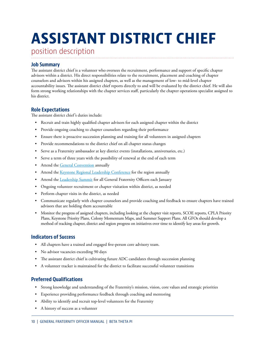## <span id="page-9-0"></span>**ASSISTANT DISTRICT CHIEF**

position description

#### **Job Summary**

The assistant district chief is a volunteer who oversees the recruitment, performance and support of specific chapter advisors within a district. His direct responsibilities relate to the recruitment, placement and coaching of chapter counselors and advisors within his assigned chapters, as well as the management of low- to mid-level chapter accountability issues. The assistant district chief reports directly to and will be evaluated by the district chief. He will also form strong working relationships with the chapter services staff, particularly the chapter operations specialist assigned to his district.

#### **Role Expectations**

The assistant district chief's duties include:

- Recruit and train highly qualified chapter advisors for each assigned chapter within the district
- Provide ongoing coaching to chapter counselors regarding their performance
- Ensure there is proactive succession planning and training for all volunteers in assigned chapters
- Provide recommendations to the district chief on all chapter status changes
- Serve as a Fraternity ambassador at key district events (installations, anniversaries, etc.)
- Serve a term of three years with the possibility of renewal at the end of each term
- Attend the [General Convention](http://beta.org/programs/general-convention/) annually
- Attend the [Keystone Regional Leadership Conference](http://beta.org/programs/keystone-conference/) for the region annually
- Attend the [Leadership Summit](http://beta.org/programs/leadership-summit/) for all General Fraternity Officers each January
- Ongoing volunteer recruitment or chapter visitation within district, as needed
- Perform chapter visits in the district, as needed
- Communicate regularly with chapter counselors and provide coaching and feedback to ensure chapters have trained advisors that are holding them accountable
- Monitor the progress of assigned chapters, including looking at the chapter visit reports, SCOE reports, CPLA Priority Plans, Keystone Priority Plans, Colony Momentum Maps, and Summer Support Plans. All GFOs should develop a method of tracking chapter, district and region progress on initiatives over time to identify key areas for growth.

#### **Indicators of Success**

- All chapters have a trained and engaged five-person core advisory team.
- No advisor vacancies exceeding 90 days
- The assistant district chief is cultivating future ADC candidates through succession planning
- A volunteer tracker is maintained for the district to facilitate successful volunteer transitions

#### **Preferred Qualifications**

- Strong knowledge and understanding of the Fraternity's mission, vision, core values and strategic priorities
- Experience providing performance feedback through coaching and mentoring
- Ability to identify and recruit top-level volunteers for the Fraternity
- A history of success as a volunteer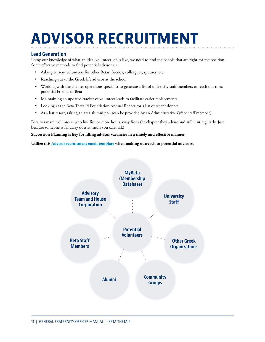## <span id="page-10-0"></span>**ADVISOR RECRUITMENT**

#### **Lead Generation**

Using our knowledge of what an ideal volunteer looks like, we need to find the people that are right for the position. Some effective methods to find potential advisor are:

- Asking current volunteers for other Betas, friends, colleagues, spouses, etc.
- Reaching out to the Greek life advisor at the school
- Working with the chapter operations specialist to generate a list of university staff members to reach out to as potential Friends of Beta
- Maintaining an updated tracker of volunteer leads to facilitate easier replacements
- Looking at the Beta Theta Pi Foundation Annual Report for a list of recent donors
- As a last resort, taking an area alumni poll (can be provided by an Administrative Office staff member)

Beta has many volunteers who live five or more hours away from the chapter they advise and still visit regularly. Just because someone is far away doesn't mean you can't ask!

**Succession Planning is key for filling advisor vacancies in a timely and effective manner.** 

**Utilize this [Advisor recruitment email template](https://beta.org/wp-content/uploads/2013/10/Potential-Advisor-Introduction-Email-Template.docx) when making outreach to potential advisors.**

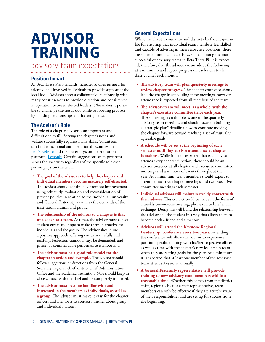### <span id="page-11-0"></span>**ADVISOR TRAINING**

advisory team expectations

#### **Position Impact**

As Beta Theta Pi's standards increase, so does its need for talented and involved individuals to provide support at the local level. Advisors enter a collaborative relationship with many constituencies to provide direction and consistency in operation between elected leaders. S/he makes it possible to challenge the status quo while supporting progress by building relationships and fostering trust.

#### **The Advisor's Role**

The role of a chapter advisor is an important and difficult one to fill. Serving the chapter's needs and welfare successfully requires many skills. Volunteers can find educational and operational resources on [Beta's website](http://beta.org) and the Fraternity's online education platform, [Lessonly.](http://betathetapi.lessonly.com) Certain suggestions seem pertinent across the spectrum regardless of the specific role each person plays on the team:

- **• The goal of the advisor is to help the chapter and individual members become maturely self-directed.**  The advisor should continually promote improvement using self-study, evaluation and reconsideration of present policies in relation to the individual, university and General Fraternity, as well as the demands of the institution, alumni and public.
- **• The relationship of the advisor to a chapter is that of a coach to a team.** At times, the advisor must expect student errors and hope to make them instructive for individuals and the group. The advisor should use a positive approach, offering criticism carefully and tactfully. Perfection cannot always be demanded, and praise for commendable performance is important.
- **• The advisor must be a good role model for the chapter in action and example.** The advisor should follow suggestions or directions from the General Secretary, regional chief, district chief, Administrative Office and the academic institution. S/he should keep in close contact with the chief and be completely informed.
- **• The advisor must become familiar with and interested in the members as individuals, as well as a group.** The advisor must make it easy for the chapter officers and members to contact him/her about group and individual matters.

#### **General Expectations**

While the chapter counselor and district chief are responsible for ensuring that individual team members feel skilled and capable of advising in their respective positions, there are some common characteristics shared among the most successful of advisory teams in Beta Theta Pi. It is expected, therefore, that the advisory team adopt the following at a minimum and report progress on each item to the district chief each month:

- **• The advisory team will plan quarterly meetings to review chapter progress.** The chapter counselor should lead the charge in scheduling these meetings; however, attendance is expected from all members of the team.
- **• The advisory team will meet, as a whole, with the chapter's executive committee twice each year.**  These meetings can double as one of the quarterly advisory team meetings and should focus on building a "strategic plan" detailing how to continue moving the chapter forward toward reaching a set of mutually agreeable goals.
- **• A schedule will be set at the beginning of each semester outlining advisor attendance at chapter functions.** While it is not expected that each advisor attends every chapter function, there should be an advisor presence at all chapter and executive committee meetings and a number of events throughout the year. At a minimum, team members should expect to attend at least two chapter meetings and two executive committee meetings each semester.
- **• Individual advisors will maintain weekly contact with their advisee.** This contact could be made in the form of a weekly one-on-one meeting, phone call or brief email exchange. Doing this will build the relationship between the advisor and the student in a way that allows them to become both a friend and a mentor.
- **• Advisors will attend the Keystone Regional Leadership Conference every two years.** Attending the conference will allow the advisor to experience position-specific training with his/her respective officer as well as time with the chapter's new leadership team when they are setting goals for the year. At a minimum, it is expected that at least one member of the advisory team attends Keystone annually.
- **• A General Fraternity representative will provide training to new advisory team members within a reasonable time.** Whether this comes from the district chief, regional chief or a staff representative, team members can only be effective if they are acutely aware of their responsibilities and are set up for success from the beginning.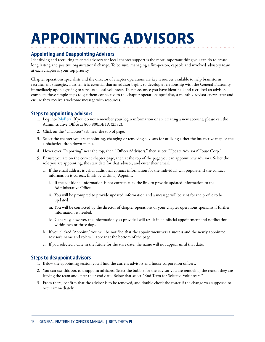### <span id="page-12-0"></span>**APPOINTING ADVISORS**

#### **Appointing and Deappointing Advisors**

Identifying and recruiting talented advisors for local chapter support is the most important thing you can do to create long lasting and positive organizational change. To be sure, managing a five-person, capable and involved advisory team at each chapter is your top priority.

Chapter operations specialists and the director of chapter operations are key resources available to help brainstorm recruitment strategies. Further, it is essential that an advisor begins to develop a relationship with the General Fraternity immediately upon agreeing to serve as a local volunteer. Therefore, once you have identified and recruited an advisor, complete these simple steps to get them connected to the chapter operations specialist, a monthly advisor enewsletter and ensure they receive a welcome message with resources.

#### **Steps to appointing advisors**

- 1. Log into  $MyBeta$ . If you do not remember your login information or are creating a new account, please call the Administrative Office at 800.800.BETA (2382).
- 2. Click on the "Chapters" tab near the top of page.
- 3. Select the chapter you are appointing, changing or removing advisors for utilizing either the interactive map or the alphabetical drop down menu.
- 4. Hover over "Reporting" near the top, then "Officers/Advisors," then select "Update Advisors/House Corp."
- 5. Ensure you are on the correct chapter page, then at the top of the page you can appoint new advisors. Select the role you are appointing, the start date for that advisor, and enter their email.
	- a. If the email address is valid, additional contact information for the individual will populate. If the contact information is correct, finish by clicking "Appoint."
		- i. If the additional information is not correct, click the link to provide updated information to the Administrative Office.
		- ii. You will be prompted to provide updated information and a message will be sent for the profile to be updated.
		- iii. You will be contacted by the director of chapter operations or your chapter operations specialist if further information is needed.
		- iv. Generally, however, the information you provided will result in an official appointment and notification within two or three days.
	- b. If you clicked "Appoint," you will be notified that the appointment was a success and the newly appointed advisor's name and role will appear at the bottom of the page.
	- c. If you selected a date in the future for the start date, the name will not appear until that date.

#### **Steps to deappoint advisors**

- 1. Below the appointing section you'll find the current advisors and house corporation officers.
- 2. You can use this box to deappoint advisors. Select the bubble for the advisor you are removing, the reason they are leaving the team and enter their end date. Below that select "End Term for Selected Volunteers."
- 3. From there, confirm that the advisor is to be removed, and double check the roster if the change was supposed to occur immediately.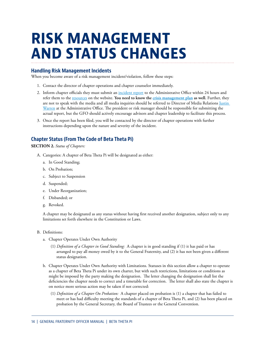### <span id="page-13-0"></span>**RISK MANAGEMENT AND STATUS CHANGES**

#### **Handling Risk Management Incidents**

When you become aware of a risk management incident/violation, follow these steps:

- 1. Contact the director of chapter operations and chapter counselor immediately.
- 2. Inform chapter officials they must submit an [incident report](https://my.beta.org/ors/incident-report.aspx) to the Administrative Office within 24 hours and refer them to the [resources](http://beta.org/resources/chapter-resources/risk-management/) on the website. **You need to know the c[risis management plan](https://beta.org/wp-content/uploads/2013/11/Crisis-Communications-Protocol_2017.pdf) as well.** Further, they are not to speak with the media and all media inquiries should be referred to Director of Media Relations Justin [Warren](mailto:justin.warren@beta.org) at the Administrative Office. The president or risk manager should be responsible for submitting the actual report, but the GFO should actively encourage advisors and chapter leadership to facilitate this process.
- 3. Once the report has been filed, you will be contacted by the director of chapter operations with further instructions depending upon the nature and severity of the incident.

#### **Chapter Status (From The Code of Beta Theta Pi)**

#### **SECTION 2.** *Status of Chapters:*

- A. Categories: A chapter of Beta Theta Pi will be designated as either:
	- a. In Good Standing;
	- b. On Probation;
	- c. Subject to Suspension
	- d. Suspended;
	- e. Under Reorganization;
	- f. Disbanded; or
	- g. Revoked.

A chapter may be designated as any status without having first received another designation, subject only to any limitations set forth elsewhere in the Constitution or Laws.

- B. Definitions:
	- a. Chapter Operates Under Own Authority
		- (1) *Definition of a Chapter in Good Standing:* A chapter is in good standing if (1) it has paid or has arranged to pay all money owed by it to the General Fraternity, and (2) it has not been given a different status designation.
	- b. Chapter Operates Under Own Authority with Limitations. Statuses in this section allow a chapter to operate as a chapter of Beta Theta Pi under its own charter, but with such restrictions, limitations or conditions as might be imposed by the party making the designation. The letter changing the designation shall list the deficiencies the chapter needs to correct and a timetable for correction. The letter shall also state the chapter is on notice more serious action may be taken if not corrected:
		- (1) *Definition of a Chapter On Probation:* A chapter placed on probation is (1) a chapter that has failed to meet or has had difficulty meeting the standards of a chapter of Beta Theta Pi, and (2) has been placed on probation by the General Secretary, the Board of Trustees or the General Convention.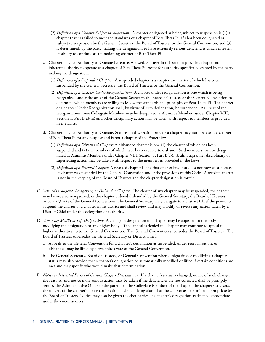- (2) *Definition of a Chapter Subject to Suspension:* A chapter designated as being subject to suspension is (1) a chapter that has failed to meet the standards of a chapter of Beta Theta Pi, (2) has been designated as subject to suspension by the General Secretary, the Board of Trustees or the General Convention, and (3) is determined, by the party making the designation, to have extremely serious deficiencies which threaten its ability to continue as a functioning chapter of Beta Theta Pi.
- c. Chapter Has No Authority to Operate Except as Allowed. Statuses in this section provide a chapter no inherent authority to operate as a chapter of Beta Theta Pi except for authority specifically granted by the party making the designation:
	- (1) *Definition of a Suspended Chapter:* A suspended chapter is a chapter the charter of which has been suspended by the General Secretary, the Board of Trustees or the General Convention.
	- (2) *Definition of a Chapter Under Reorganization:* A chapter under reorganization is one which is being reorganized under the order of the General Secretary, the Board of Trustees or the General Convention to determine which members are willing to follow the standards and principles of Beta Theta Pi. The charter of a chapter Under Reorganization shall, by virtue of such designation, be suspended. As a part of the reorganization some Collegiate Members may be designated as Alumnus Members under Chapter VIII, Section 1, Part B(a)(iii) and other disciplinary action may be taken with respect to members as provided in the Laws.
- d. Chapter Has No Authority to Operate. Statuses in this section provide a chapter may not operate as a chapter of Beta Theta Pi for any purpose and is not a chapter of the Fraternity:
	- (1) *Definition of a Disbanded Chapter:* A disbanded chapter is one (1) the charter of which has been suspended and (2) the members of which have been ordered to disband. Said members shall be designated as Alumnus Members under Chapter VIII, Section 1, Part B(a)(iii), although other disciplinary or superseding action may be taken with respect to the members as provided in the Laws.
	- (2) *Definition of a Revoked Chapter:* A revoked chapter is one that once existed but does not now exist because its charter was rescinded by the General Convention under the provisions of this Code. A revoked charter is not in the keeping of the Board of Trustees and the chapter designation is forfeit.
- C. *Who May Suspend, Reorganize, or Disband a Chapter:* The charter of any chapter may be suspended, the chapter may be ordered reorganized, or the chapter ordered disbanded by the General Secretary, the Board of Trustees, or by a 2/3 vote of the General Convention. The General Secretary may delegate to a District Chief the power to suspend the charter of a chapter in his district and shall review and may modify or reverse any action taken by a District Chief under this delegation of authority.
- D. *Who May Modify or Lift Designation:* A change in designation of a chapter may be appealed to the body modifying the designation or any higher body. If the appeal is denied the chapter may continue to appeal to higher authorities up to the General Convention. The General Convention supersedes the Board of Trustees. The Board of Trustees supersedes the General Secretary or District Chief.
	- a. Appeals to the General Convention for a chapter's designation as suspended, under reorganization, or disbanded may be lifted by a two-thirds vote of the General Convention.
	- b. The General Secretary, Board of Trustees, or General Convention when designating or modifying a chapter status may also provide that a chapter's designation be automatically modified or lifted if certain conditions are met and may specify who would make that determination.
- E. *Notice to Interested Parties of Certain Chapter Designations:* If a chapter's status is changed, notice of such change, the reasons, and notice more serious action may be taken if the deficiencies are not corrected shall be promptly sent by the Administrative Office to the parents of the Collegiate Members of the chapter, the chapter's advisors, the officers of the chapter's house corporation and such living alumni of the chapter as determined appropriate by the Board of Trustees. Notice may also be given to other parties of a chapter's designation as deemed appropriate under the circumstances.